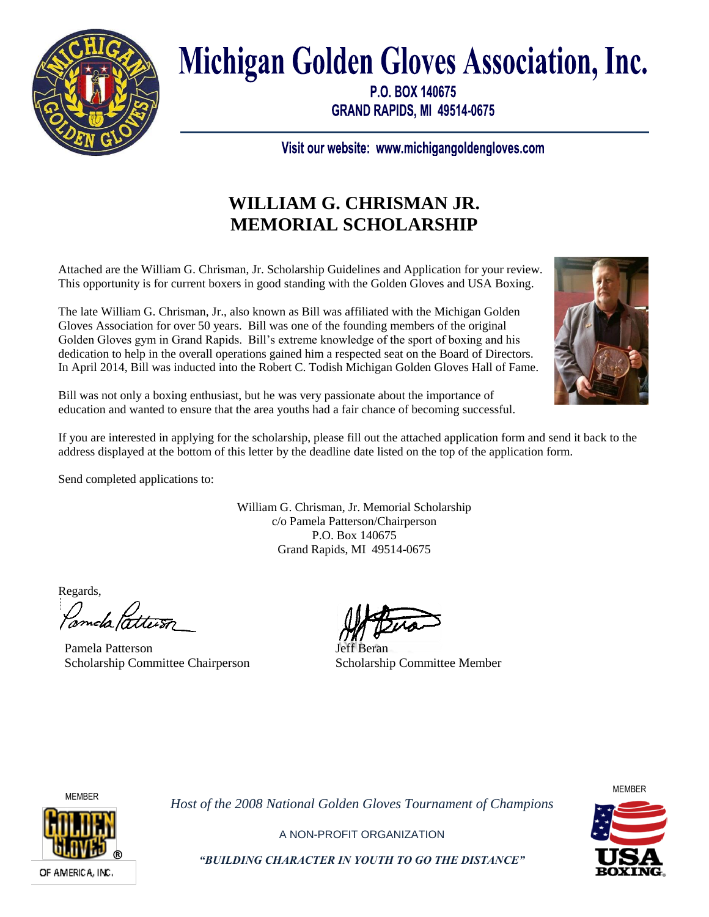

# **Michigan Golden Gloves Association, Inc.**

P.O. BOX 140675 **GRAND RAPIDS, MI 49514-0675** 

Visit our website: www.michigangoldengloves.com

# **WILLIAM G. CHRISMAN JR. MEMORIAL SCHOLARSHIP**

Attached are the William G. Chrisman, Jr. Scholarship Guidelines and Application for your review. This opportunity is for current boxers in good standing with the Golden Gloves and USA Boxing.

The late William G. Chrisman, Jr., also known as Bill was affiliated with the Michigan Golden Gloves Association for over 50 years. Bill was one of the founding members of the original Golden Gloves gym in Grand Rapids. Bill's extreme knowledge of the sport of boxing and his dedication to help in the overall operations gained him a respected seat on the Board of Directors. In April 2014, Bill was inducted into the Robert C. Todish Michigan Golden Gloves Hall of Fame.

Bill was not only a boxing enthusiast, but he was very passionate about the importance of education and wanted to ensure that the area youths had a fair chance of becoming successful.

If you are interested in applying for the scholarship, please fill out the attached application form and send it back to the address displayed at the bottom of this letter by the deadline date listed on the top of the application form.

Send completed applications to:

William G. Chrisman, Jr. Memorial Scholarship c/o Pamela Patterson/Chairperson P.O. Box 140675 Grand Rapids, MI 49514-0675

Regards,

Pamela Patterson Scholarship Committee Chairperson

Jeff Beran Scholarship Committee Member



*Host of the 2008 National Golden Gloves Tournament of Champions*



®

A NON-PROFIT ORGANIZATION *"BUILDING CHARACTER IN YOUTH TO GO THE DISTANCE"*

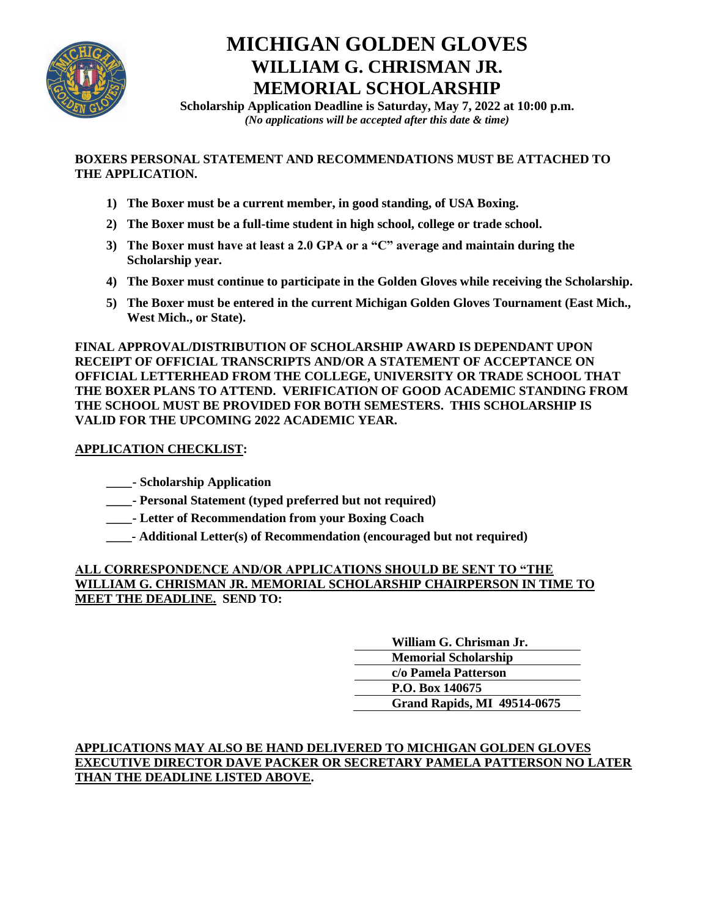

## **MICHIGAN GOLDEN GLOVES WILLIAM G. CHRISMAN JR. MEMORIAL SCHOLARSHIP**

**Scholarship Application Deadline is Saturday, May 7, 2022 at 10:00 p.m.** *(No applications will be accepted after this date & time)*

#### **BOXERS PERSONAL STATEMENT AND RECOMMENDATIONS MUST BE ATTACHED TO THE APPLICATION.**

- **1) The Boxer must be a current member, in good standing, of USA Boxing.**
- **2) The Boxer must be a full-time student in high school, college or trade school.**
- **3) The Boxer must have at least a 2.0 GPA or a "C" average and maintain during the Scholarship year.**
- **4) The Boxer must continue to participate in the Golden Gloves while receiving the Scholarship.**
- **5) The Boxer must be entered in the current Michigan Golden Gloves Tournament (East Mich., West Mich., or State).**

**FINAL APPROVAL/DISTRIBUTION OF SCHOLARSHIP AWARD IS DEPENDANT UPON RECEIPT OF OFFICIAL TRANSCRIPTS AND/OR A STATEMENT OF ACCEPTANCE ON OFFICIAL LETTERHEAD FROM THE COLLEGE, UNIVERSITY OR TRADE SCHOOL THAT THE BOXER PLANS TO ATTEND. VERIFICATION OF GOOD ACADEMIC STANDING FROM THE SCHOOL MUST BE PROVIDED FOR BOTH SEMESTERS. THIS SCHOLARSHIP IS VALID FOR THE UPCOMING 2022 ACADEMIC YEAR.**

### **APPLICATION CHECKLIST:**

**\_\_\_\_- Scholarship Application**

- **\_\_\_\_- Personal Statement (typed preferred but not required)**
- **\_\_\_\_- Letter of Recommendation from your Boxing Coach**
- **\_\_\_\_- Additional Letter(s) of Recommendation (encouraged but not required)**

#### **ALL CORRESPONDENCE AND/OR APPLICATIONS SHOULD BE SENT TO "THE WILLIAM G. CHRISMAN JR. MEMORIAL SCHOLARSHIP CHAIRPERSON IN TIME TO MEET THE DEADLINE. SEND TO:**

#### **APPLICATIONS MAY ALSO BE HAND DELIVERED TO MICHIGAN GOLDEN GLOVES EXECUTIVE DIRECTOR DAVE PACKER OR SECRETARY PAMELA PATTERSON NO LATER THAN THE DEADLINE LISTED ABOVE.**